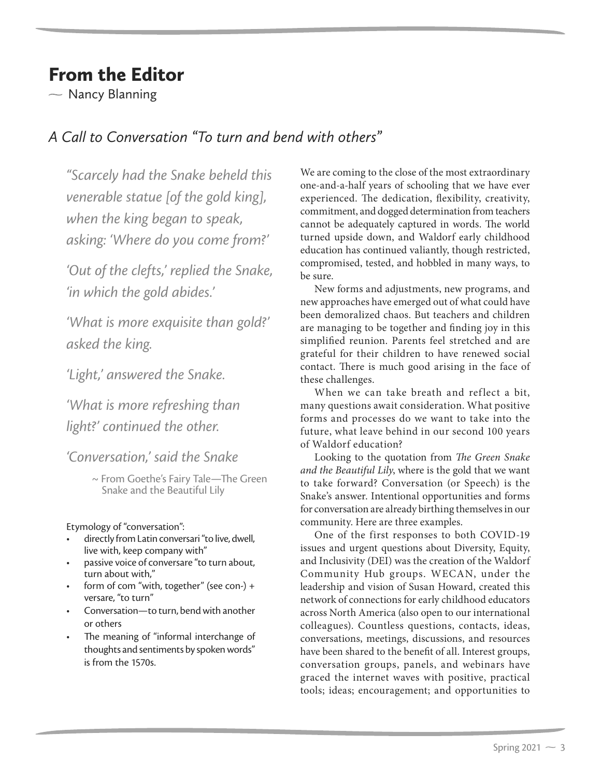## From the Editor

 $\sim$  Nancy Blanning

## *A Call to Conversation "To turn and bend with others"*

*"Scarcely had the Snake beheld this venerable statue [of the gold king], when the king began to speak, asking: 'Where do you come from?'*

*'Out of the clefts,' replied the Snake, 'in which the gold abides.'*

*'What is more exquisite than gold?' asked the king.*

*'Light,' answered the Snake.*

*'What is more refreshing than light?' continued the other.*

*'Conversation,' said the Snake*

~ From Goethe's Fairy Tale—The Green Snake and the Beautiful Lily

Etymology of "conversation":

- directly from Latin conversari "to live, dwell, live with, keep company with"
- passive voice of conversare "to turn about, turn about with,"
- form of com "with, together" (see con-) + versare, "to turn"
- Conversation*—*to turn, bend with another or others
- The meaning of "informal interchange of thoughts and sentiments by spoken words" is from the 1570s.

We are coming to the close of the most extraordinary one-and-a-half years of schooling that we have ever experienced. The dedication, flexibility, creativity, commitment, and dogged determination from teachers cannot be adequately captured in words. The world turned upside down, and Waldorf early childhood education has continued valiantly, though restricted, compromised, tested, and hobbled in many ways, to be sure.

New forms and adjustments, new programs, and new approaches have emerged out of what could have been demoralized chaos. But teachers and children are managing to be together and finding joy in this simplified reunion. Parents feel stretched and are grateful for their children to have renewed social contact. There is much good arising in the face of these challenges.

When we can take breath and reflect a bit, many questions await consideration. What positive forms and processes do we want to take into the future, what leave behind in our second 100 years of Waldorf education?

Looking to the quotation from *The Green Snake and the Beautiful Lily*, where is the gold that we want to take forward? Conversation (or Speech) is the Snake's answer. Intentional opportunities and forms for conversation are already birthing themselves in our community. Here are three examples.

One of the first responses to both COVID-19 issues and urgent questions about Diversity, Equity, and Inclusivity (DEI) was the creation of the Waldorf Community Hub groups. WECAN, under the leadership and vision of Susan Howard, created this network of connections for early childhood educators across North America (also open to our international colleagues). Countless questions, contacts, ideas, conversations, meetings, discussions, and resources have been shared to the benefit of all. Interest groups, conversation groups, panels, and webinars have graced the internet waves with positive, practical tools; ideas; encouragement; and opportunities to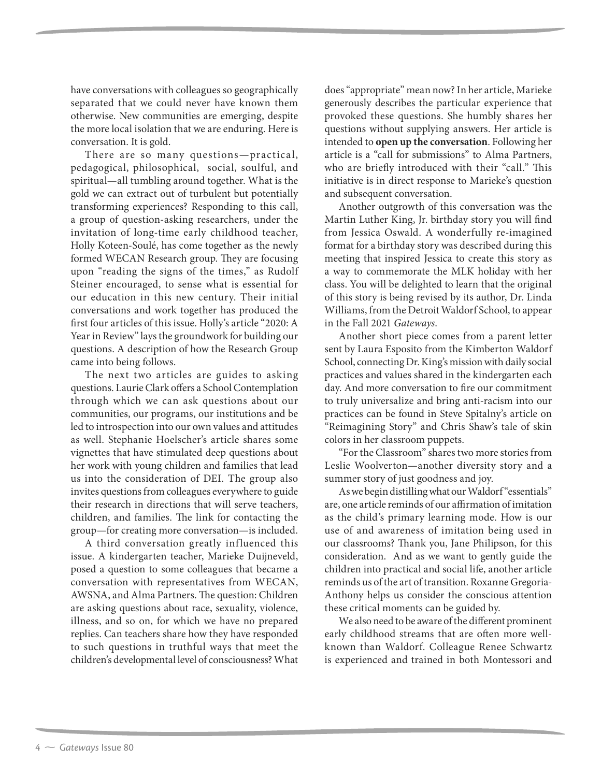have conversations with colleagues so geographically separated that we could never have known them otherwise. New communities are emerging, despite the more local isolation that we are enduring. Here is conversation. It is gold.

There are so many questions—practical, pedagogical, philosophical, social, soulful, and spiritual—all tumbling around together. What is the gold we can extract out of turbulent but potentially transforming experiences? Responding to this call, a group of question-asking researchers, under the invitation of long-time early childhood teacher, Holly Koteen-Soulé, has come together as the newly formed WECAN Research group. They are focusing upon "reading the signs of the times," as Rudolf Steiner encouraged, to sense what is essential for our education in this new century. Their initial conversations and work together has produced the first four articles of this issue. Holly's article "2020: A Year in Review" lays the groundwork for building our questions. A description of how the Research Group came into being follows.

The next two articles are guides to asking questions. Laurie Clark offers a School Contemplation through which we can ask questions about our communities, our programs, our institutions and be led to introspection into our own values and attitudes as well. Stephanie Hoelscher's article shares some vignettes that have stimulated deep questions about her work with young children and families that lead us into the consideration of DEI. The group also invites questions from colleagues everywhere to guide their research in directions that will serve teachers, children, and families. The link for contacting the group—for creating more conversation—is included.

A third conversation greatly influenced this issue. A kindergarten teacher, Marieke Duijneveld, posed a question to some colleagues that became a conversation with representatives from WECAN, AWSNA, and Alma Partners. The question: Children are asking questions about race, sexuality, violence, illness, and so on, for which we have no prepared replies. Can teachers share how they have responded to such questions in truthful ways that meet the children's developmental level of consciousness? What does "appropriate" mean now? In her article, Marieke generously describes the particular experience that provoked these questions. She humbly shares her questions without supplying answers. Her article is intended to **open up the conversation**. Following her article is a "call for submissions" to Alma Partners, who are briefly introduced with their "call." This initiative is in direct response to Marieke's question and subsequent conversation.

Another outgrowth of this conversation was the Martin Luther King, Jr. birthday story you will find from Jessica Oswald. A wonderfully re-imagined format for a birthday story was described during this meeting that inspired Jessica to create this story as a way to commemorate the MLK holiday with her class. You will be delighted to learn that the original of this story is being revised by its author, Dr. Linda Williams, from the Detroit Waldorf School, to appear in the Fall 2021 *Gateways*.

Another short piece comes from a parent letter sent by Laura Esposito from the Kimberton Waldorf School, connecting Dr. King's mission with daily social practices and values shared in the kindergarten each day. And more conversation to fire our commitment to truly universalize and bring anti-racism into our practices can be found in Steve Spitalny's article on "Reimagining Story" and Chris Shaw's tale of skin colors in her classroom puppets.

"For the Classroom" shares two more stories from Leslie Woolverton—another diversity story and a summer story of just goodness and joy.

As we begin distilling what our Waldorf "essentials" are, one article reminds of our affirmation of imitation as the child's primary learning mode. How is our use of and awareness of imitation being used in our classrooms? Thank you, Jane Philipson, for this consideration. And as we want to gently guide the children into practical and social life, another article reminds us of the art of transition. Roxanne Gregoria-Anthony helps us consider the conscious attention these critical moments can be guided by.

We also need to be aware of the different prominent early childhood streams that are often more wellknown than Waldorf. Colleague Renee Schwartz is experienced and trained in both Montessori and